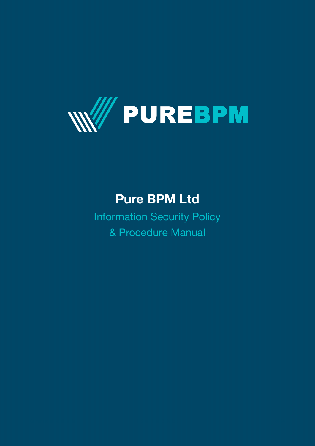

# **Pure BPM Ltd**

Information Security Policy & Procedure Manual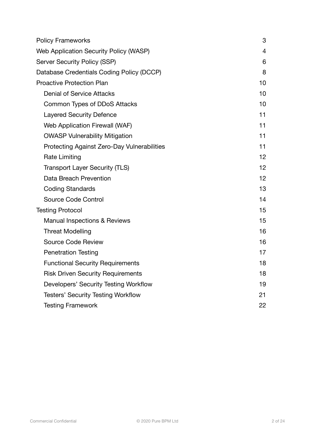| <b>Policy Frameworks</b>                           | 3  |
|----------------------------------------------------|----|
| Web Application Security Policy (WASP)             | 4  |
| Server Security Policy (SSP)                       | 6  |
| Database Credentials Coding Policy (DCCP)          | 8  |
| <b>Proactive Protection Plan</b>                   | 10 |
| <b>Denial of Service Attacks</b>                   | 10 |
| Common Types of DDoS Attacks                       | 10 |
| <b>Layered Security Defence</b>                    | 11 |
| <b>Web Application Firewall (WAF)</b>              | 11 |
| <b>OWASP Vulnerability Mitigation</b>              | 11 |
| <b>Protecting Against Zero-Day Vulnerabilities</b> | 11 |
| <b>Rate Limiting</b>                               | 12 |
| <b>Transport Layer Security (TLS)</b>              | 12 |
| Data Breach Prevention                             | 12 |
| <b>Coding Standards</b>                            | 13 |
| <b>Source Code Control</b>                         | 14 |
| <b>Testing Protocol</b>                            | 15 |
| <b>Manual Inspections &amp; Reviews</b>            | 15 |
| <b>Threat Modelling</b>                            | 16 |
| <b>Source Code Review</b>                          | 16 |
| <b>Penetration Testing</b>                         | 17 |
| <b>Functional Security Requirements</b>            | 18 |
| <b>Risk Driven Security Requirements</b>           | 18 |
| Developers' Security Testing Workflow              | 19 |
| <b>Testers' Security Testing Workflow</b>          | 21 |
| <b>Testing Framework</b>                           | 22 |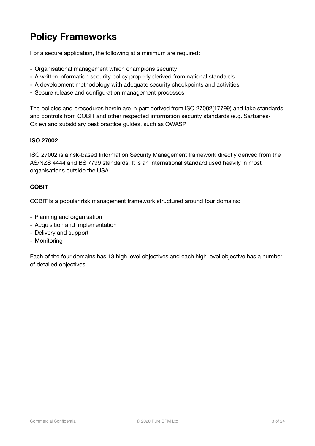## <span id="page-2-0"></span>**Policy Frameworks**

For a secure application, the following at a minimum are required:

- Organisational management which champions security
- A written information security policy properly derived from national standards
- A development methodology with adequate security checkpoints and activities
- Secure release and configuration management processes

The policies and procedures herein are in part derived from ISO 27002(17799) and take standards and controls from COBIT and other respected information security standards (e.g. Sarbanes-Oxley) and subsidiary best practice guides, such as OWASP.

### **ISO 27002**

ISO 27002 is a risk-based Information Security Management framework directly derived from the AS/NZS 4444 and BS 7799 standards. It is an international standard used heavily in most organisations outside the USA.

#### **COBIT**

COBIT is a popular risk management framework structured around four domains:

- Planning and organisation
- Acquisition and implementation
- Delivery and support
- Monitoring

Each of the four domains has 13 high level objectives and each high level objective has a number of detailed objectives.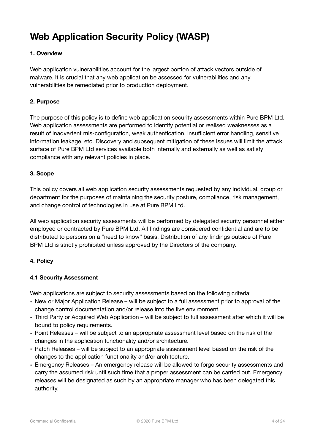## <span id="page-3-0"></span>**Web Application Security Policy (WASP)**

### **1. Overview**

Web application vulnerabilities account for the largest portion of attack vectors outside of malware. It is crucial that any web application be assessed for vulnerabilities and any vulnerabilities be remediated prior to production deployment.

### **2. Purpose**

The purpose of this policy is to define web application security assessments within Pure BPM Ltd. Web application assessments are performed to identify potential or realised weaknesses as a result of inadvertent mis-configuration, weak authentication, insufficient error handling, sensitive information leakage, etc. Discovery and subsequent mitigation of these issues will limit the attack surface of Pure BPM Ltd services available both internally and externally as well as satisfy compliance with any relevant policies in place.

### **3. Scope**

This policy covers all web application security assessments requested by any individual, group or department for the purposes of maintaining the security posture, compliance, risk management, and change control of technologies in use at Pure BPM Ltd.

All web application security assessments will be performed by delegated security personnel either employed or contracted by Pure BPM Ltd. All findings are considered confidential and are to be distributed to persons on a "need to know" basis. Distribution of any findings outside of Pure BPM Ltd is strictly prohibited unless approved by the Directors of the company.

### **4. Policy**

### **4.1 Security Assessment**

Web applications are subject to security assessments based on the following criteria:

- New or Major Application Release will be subject to a full assessment prior to approval of the change control documentation and/or release into the live environment.
- Third Party or Acquired Web Application will be subject to full assessment after which it will be bound to policy requirements.
- Point Releases will be subject to an appropriate assessment level based on the risk of the changes in the application functionality and/or architecture.
- Patch Releases will be subject to an appropriate assessment level based on the risk of the changes to the application functionality and/or architecture.
- Emergency Releases An emergency release will be allowed to forgo security assessments and carry the assumed risk until such time that a proper assessment can be carried out. Emergency releases will be designated as such by an appropriate manager who has been delegated this authority.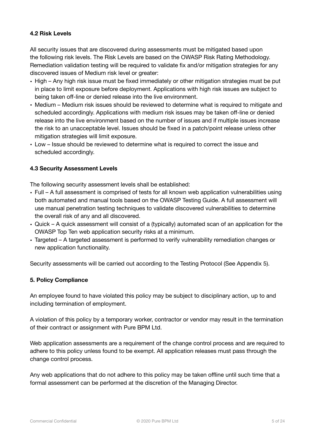### **4.2 Risk Levels**

All security issues that are discovered during assessments must be mitigated based upon the following risk levels. The Risk Levels are based on the OWASP Risk Rating Methodology. Remediation validation testing will be required to validate fix and/or mitigation strategies for any discovered issues of Medium risk level or greater:

- High Any high risk issue must be fixed immediately or other mitigation strategies must be put in place to limit exposure before deployment. Applications with high risk issues are subject to being taken off-line or denied release into the live environment.
- Medium Medium risk issues should be reviewed to determine what is required to mitigate and scheduled accordingly. Applications with medium risk issues may be taken off-line or denied release into the live environment based on the number of issues and if multiple issues increase the risk to an unacceptable level. Issues should be fixed in a patch/point release unless other mitigation strategies will limit exposure.
- Low Issue should be reviewed to determine what is required to correct the issue and scheduled accordingly.

### **4.3 Security Assessment Levels**

The following security assessment levels shall be established:

- Full A full assessment is comprised of tests for all known web application vulnerabilities using both automated and manual tools based on the OWASP Testing Guide. A full assessment will use manual penetration testing techniques to validate discovered vulnerabilities to determine the overall risk of any and all discovered.
- Quick A quick assessment will consist of a (typically) automated scan of an application for the OWASP Top Ten web application security risks at a minimum.
- Targeted A targeted assessment is performed to verify vulnerability remediation changes or new application functionality.

Security assessments will be carried out according to the Testing Protocol (See Appendix 5).

### **5. Policy Compliance**

An employee found to have violated this policy may be subject to disciplinary action, up to and including termination of employment.

A violation of this policy by a temporary worker, contractor or vendor may result in the termination of their contract or assignment with Pure BPM Ltd.

Web application assessments are a requirement of the change control process and are required to adhere to this policy unless found to be exempt. All application releases must pass through the change control process.

Any web applications that do not adhere to this policy may be taken offline until such time that a formal assessment can be performed at the discretion of the Managing Director.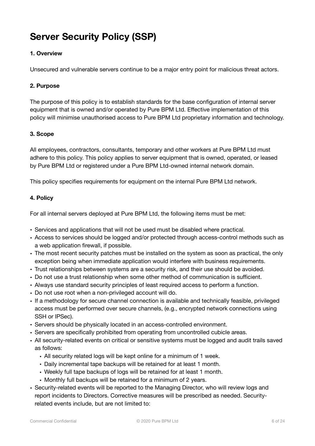## <span id="page-5-0"></span>**Server Security Policy (SSP)**

### **1. Overview**

Unsecured and vulnerable servers continue to be a major entry point for malicious threat actors.

### **2. Purpose**

The purpose of this policy is to establish standards for the base configuration of internal server equipment that is owned and/or operated by Pure BPM Ltd. Effective implementation of this policy will minimise unauthorised access to Pure BPM Ltd proprietary information and technology.

### **3. Scope**

All employees, contractors, consultants, temporary and other workers at Pure BPM Ltd must adhere to this policy. This policy applies to server equipment that is owned, operated, or leased by Pure BPM Ltd or registered under a Pure BPM Ltd-owned internal network domain.

This policy specifies requirements for equipment on the internal Pure BPM Ltd network.

### **4. Policy**

For all internal servers deployed at Pure BPM Ltd, the following items must be met:

- Services and applications that will not be used must be disabled where practical.
- Access to services should be logged and/or protected through access-control methods such as a web application firewall, if possible.
- The most recent security patches must be installed on the system as soon as practical, the only exception being when immediate application would interfere with business requirements.
- Trust relationships between systems are a security risk, and their use should be avoided.
- Do not use a trust relationship when some other method of communication is sufficient.
- Always use standard security principles of least required access to perform a function.
- Do not use root when a non-privileged account will do.
- If a methodology for secure channel connection is available and technically feasible, privileged access must be performed over secure channels, (e.g., encrypted network connections using SSH or IPSec).
- Servers should be physically located in an access-controlled environment.
- Servers are specifically prohibited from operating from uncontrolled cubicle areas.
- All security-related events on critical or sensitive systems must be logged and audit trails saved as follows:
	- All security related logs will be kept online for a minimum of 1 week.
	- Daily incremental tape backups will be retained for at least 1 month.
	- Weekly full tape backups of logs will be retained for at least 1 month.
	- Monthly full backups will be retained for a minimum of 2 years.
- Security-related events will be reported to the Managing Director, who will review logs and report incidents to Directors. Corrective measures will be prescribed as needed. Securityrelated events include, but are not limited to: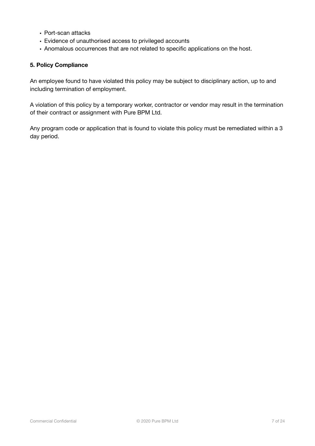- Port-scan attacks
- Evidence of unauthorised access to privileged accounts
- Anomalous occurrences that are not related to specific applications on the host.

### **5. Policy Compliance**

An employee found to have violated this policy may be subject to disciplinary action, up to and including termination of employment.

A violation of this policy by a temporary worker, contractor or vendor may result in the termination of their contract or assignment with Pure BPM Ltd.

Any program code or application that is found to violate this policy must be remediated within a 3 day period.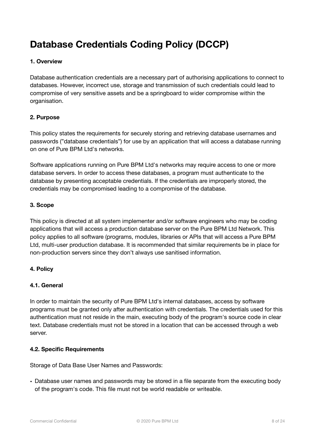## <span id="page-7-0"></span>**Database Credentials Coding Policy (DCCP)**

### **1. Overview**

Database authentication credentials are a necessary part of authorising applications to connect to databases. However, incorrect use, storage and transmission of such credentials could lead to compromise of very sensitive assets and be a springboard to wider compromise within the organisation.

### **2. Purpose**

This policy states the requirements for securely storing and retrieving database usernames and passwords ("database credentials") for use by an application that will access a database running on one of Pure BPM Ltd's networks.

Software applications running on Pure BPM Ltd's networks may require access to one or more database servers. In order to access these databases, a program must authenticate to the database by presenting acceptable credentials. If the credentials are improperly stored, the credentials may be compromised leading to a compromise of the database.

### **3. Scope**

This policy is directed at all system implementer and/or software engineers who may be coding applications that will access a production database server on the Pure BPM Ltd Network. This policy applies to all software (programs, modules, libraries or APIs that will access a Pure BPM Ltd, multi-user production database. It is recommended that similar requirements be in place for non-production servers since they don't always use sanitised information.

### **4. Policy**

### **4.1. General**

In order to maintain the security of Pure BPM Ltd's internal databases, access by software programs must be granted only after authentication with credentials. The credentials used for this authentication must not reside in the main, executing body of the program's source code in clear text. Database credentials must not be stored in a location that can be accessed through a web server.

### **4.2. Specific Requirements**

Storage of Data Base User Names and Passwords:

• Database user names and passwords may be stored in a file separate from the executing body of the program's code. This file must not be world readable or writeable.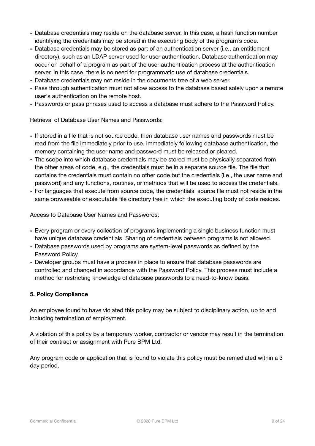- Database credentials may reside on the database server. In this case, a hash function number identifying the credentials may be stored in the executing body of the program's code.
- Database credentials may be stored as part of an authentication server (i.e., an entitlement directory), such as an LDAP server used for user authentication. Database authentication may occur on behalf of a program as part of the user authentication process at the authentication server. In this case, there is no need for programmatic use of database credentials.
- Database credentials may not reside in the documents tree of a web server.
- Pass through authentication must not allow access to the database based solely upon a remote user's authentication on the remote host.
- Passwords or pass phrases used to access a database must adhere to the Password Policy.

Retrieval of Database User Names and Passwords:

- If stored in a file that is not source code, then database user names and passwords must be read from the file immediately prior to use. Immediately following database authentication, the memory containing the user name and password must be released or cleared.
- The scope into which database credentials may be stored must be physically separated from the other areas of code, e.g., the credentials must be in a separate source file. The file that contains the credentials must contain no other code but the credentials (i.e., the user name and password) and any functions, routines, or methods that will be used to access the credentials.
- For languages that execute from source code, the credentials' source file must not reside in the same browseable or executable file directory tree in which the executing body of code resides.

Access to Database User Names and Passwords:

- Every program or every collection of programs implementing a single business function must have unique database credentials. Sharing of credentials between programs is not allowed.
- Database passwords used by programs are system-level passwords as defined by the Password Policy.
- Developer groups must have a process in place to ensure that database passwords are controlled and changed in accordance with the Password Policy. This process must include a method for restricting knowledge of database passwords to a need-to-know basis.

### **5. Policy Compliance**

An employee found to have violated this policy may be subject to disciplinary action, up to and including termination of employment.

A violation of this policy by a temporary worker, contractor or vendor may result in the termination of their contract or assignment with Pure BPM Ltd.

Any program code or application that is found to violate this policy must be remediated within a 3 day period.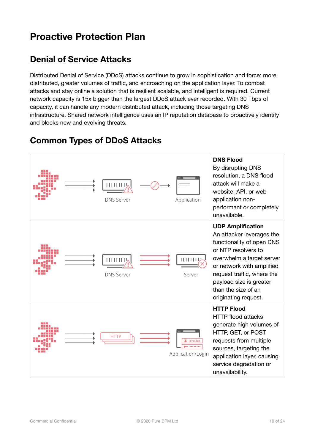## <span id="page-9-0"></span>**Proactive Protection Plan**

### <span id="page-9-1"></span>**Denial of Service Attacks**

Distributed Denial of Service (DDoS) attacks continue to grow in sophistication and force: more distributed, greater volumes of traffic, and encroaching on the application layer. To combat attacks and stay online a solution that is resilient scalable, and intelligent is required. Current network capacity is 15x bigger than the largest DDoS attack ever recorded. With 30 Tbps of capacity, it can handle any modern distributed attack, including those targeting DNS infrastructure. Shared network intelligence uses an IP reputation database to proactively identify and blocks new and evolving threats.



### <span id="page-9-2"></span>**Common Types of DDoS Attacks**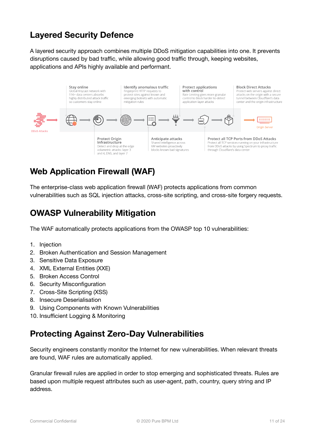### <span id="page-10-0"></span>**Layered Security Defence**

A layered security approach combines multiple DDoS mitigation capabilities into one. It prevents disruptions caused by bad traffic, while allowing good traffic through, keeping websites, applications and APIs highly available and performant.



## <span id="page-10-1"></span>**Web Application Firewall (WAF)**

The enterprise-class web application firewall (WAF) protects applications from common vulnerabilities such as SQL injection attacks, cross-site scripting, and cross-site forgery requests.

### <span id="page-10-2"></span>**OWASP Vulnerability Mitigation**

The WAF automatically protects applications from the OWASP top 10 vulnerabilities:

- 1. Injection
- 2. Broken Authentication and Session Management
- 3. Sensitive Data Exposure
- 4. XML External Entities (XXE)
- 5. Broken Access Control
- 6. Security Misconfiguration
- 7. Cross-Site Scripting (XSS)
- 8. Insecure Deserialisation
- 9. Using Components with Known Vulnerabilities
- 10. Insufficient Logging & Monitoring

### <span id="page-10-3"></span>**Protecting Against Zero-Day Vulnerabilities**

Security engineers constantly monitor the Internet for new vulnerabilities. When relevant threats are found, WAF rules are automatically applied.

Granular firewall rules are applied in order to stop emerging and sophisticated threats. Rules are based upon multiple request attributes such as user-agent, path, country, query string and IP address.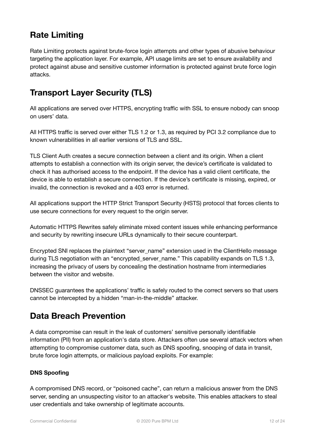### <span id="page-11-0"></span>**Rate Limiting**

Rate Limiting protects against brute-force login attempts and other types of abusive behaviour targeting the application layer. For example, API usage limits are set to ensure availability and protect against abuse and sensitive customer information is protected against brute force login attacks.

### <span id="page-11-1"></span>**Transport Layer Security (TLS)**

All applications are served over HTTPS, encrypting traffic with SSL to ensure nobody can snoop on users' data.

All HTTPS traffic is served over either TLS 1.2 or 1.3, as required by PCI 3.2 compliance due to known vulnerabilities in all earlier versions of TLS and SSL.

TLS Client Auth creates a secure connection between a client and its origin. When a client attempts to establish a connection with its origin server, the device's certificate is validated to check it has authorised access to the endpoint. If the device has a valid client certificate, the device is able to establish a secure connection. If the device's certificate is missing, expired, or invalid, the connection is revoked and a 403 error is returned.

All applications support the HTTP Strict Transport Security (HSTS) protocol that forces clients to use secure connections for every request to the origin server.

Automatic HTTPS Rewrites safely eliminate mixed content issues while enhancing performance and security by rewriting insecure URLs dynamically to their secure counterpart.

Encrypted SNI replaces the plaintext "server\_name" extension used in the ClientHello message during TLS negotiation with an "encrypted server name." This capability expands on TLS 1.3, increasing the privacy of users by concealing the destination hostname from intermediaries between the visitor and website.

DNSSEC guarantees the applications' traffic is safely routed to the correct servers so that users cannot be intercepted by a hidden "man-in-the-middle" attacker.

### <span id="page-11-2"></span>**Data Breach Prevention**

A data compromise can result in the leak of customers' sensitive personally identifiable information (PII) from an application's data store. Attackers often use several attack vectors when attempting to compromise customer data, such as DNS spoofing, snooping of data in transit, brute force login attempts, or malicious payload exploits. For example:

### **DNS Spoofing**

A compromised DNS record, or "poisoned cache", can return a malicious answer from the DNS server, sending an unsuspecting visitor to an attacker's website. This enables attackers to steal user credentials and take ownership of legitimate accounts.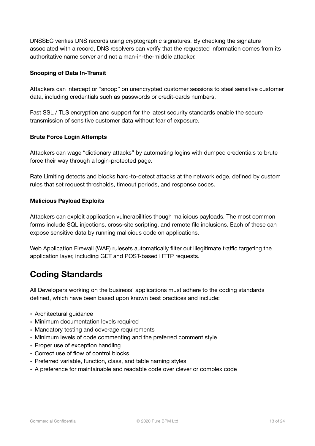[DNSSEC](https://www.cloudflare.com/dns/dnssec/) verifies [DNS](https://www.cloudflare.com/dns/) records using cryptographic signatures. By checking the signature associated with a record, DNS resolvers can verify that the requested information comes from its authoritative name server and not a man-in-the-middle attacker.

### **Snooping of Data In-Transit**

Attackers can intercept or "snoop" on unencrypted customer sessions to steal sensitive customer data, including credentials such as passwords or credit-cards numbers.

Fast [SSL / TLS](https://www.cloudflare.com/ssl/) encryption and support for the latest security standards enable the secure transmission of sensitive customer data without fear of exposure.

### **Brute Force Login Attempts**

Attackers can wage "dictionary attacks" by automating logins with dumped credentials to brute force their way through a login-protected page.

Rate Limiting detects and blocks hard-to-detect attacks at the network edge, defined by custom rules that set request thresholds, timeout periods, and response codes.

### **Malicious Payload Exploits**

Attackers can exploit application vulnerabilities though malicious payloads. The most common forms include SQL injections, cross-site scripting, and remote file inclusions. Each of these can expose sensitive data by running malicious code on applications.

Web Application Firewall (WAF) rulesets automatically filter out illegitimate traffic targeting the application layer, including GET and POST-based HTTP requests.

### <span id="page-12-0"></span>**Coding Standards**

All Developers working on the business' applications must adhere to the coding standards defined, which have been based upon known best practices and include:

- Architectural guidance
- Minimum documentation levels required
- Mandatory testing and coverage requirements
- Minimum levels of code commenting and the preferred comment style
- Proper use of exception handling
- Correct use of flow of control blocks
- Preferred variable, function, class, and table naming styles
- A preference for maintainable and readable code over clever or complex code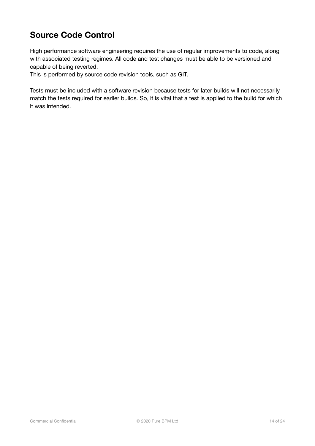### <span id="page-13-0"></span>**Source Code Control**

High performance software engineering requires the use of regular improvements to code, along with associated testing regimes. All code and test changes must be able to be versioned and capable of being reverted.

This is performed by source code revision tools, such as GIT.

Tests must be included with a software revision because tests for later builds will not necessarily match the tests required for earlier builds. So, it is vital that a test is applied to the build for which it was intended.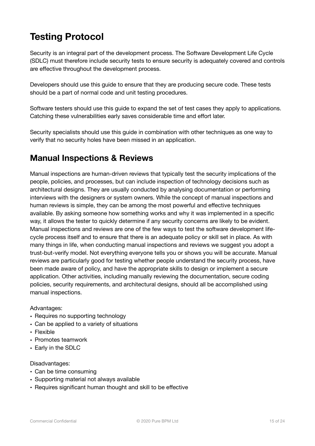## <span id="page-14-0"></span>**Testing Protocol**

Security is an integral part of the development process. The Software Development Life Cycle (SDLC) must therefore include security tests to ensure security is adequately covered and controls are effective throughout the development process.

Developers should use this guide to ensure that they are producing secure code. These tests should be a part of normal code and unit testing procedures.

Software testers should use this guide to expand the set of test cases they apply to applications. Catching these vulnerabilities early saves considerable time and effort later.

Security specialists should use this guide in combination with other techniques as one way to verify that no security holes have been missed in an application.

### <span id="page-14-1"></span>**Manual Inspections & Reviews**

Manual inspections are human-driven reviews that typically test the security implications of the people, policies, and processes, but can include inspection of technology decisions such as architectural designs. They are usually conducted by analysing documentation or performing interviews with the designers or system owners. While the concept of manual inspections and human reviews is simple, they can be among the most powerful and effective techniques available. By asking someone how something works and why it was implemented in a specific way, it allows the tester to quickly determine if any security concerns are likely to be evident. Manual inspections and reviews are one of the few ways to test the software development lifecycle process itself and to ensure that there is an adequate policy or skill set in place. As with many things in life, when conducting manual inspections and reviews we suggest you adopt a trust-but-verify model. Not everything everyone tells you or shows you will be accurate. Manual reviews are particularly good for testing whether people understand the security process, have been made aware of policy, and have the appropriate skills to design or implement a secure application. Other activities, including manually reviewing the documentation, secure coding policies, security requirements, and architectural designs, should all be accomplished using manual inspections.

### Advantages:

- Requires no supporting technology
- Can be applied to a variety of situations
- Flexible
- Promotes teamwork
- Early in the SDLC

#### Disadvantages:

- Can be time consuming
- Supporting material not always available
- Requires significant human thought and skill to be effective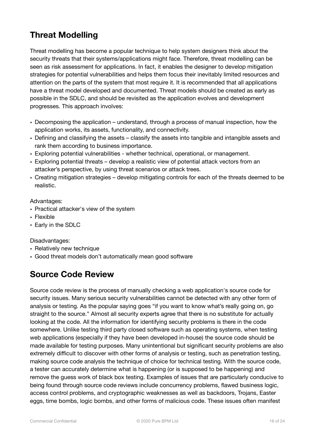### <span id="page-15-0"></span>**Threat Modelling**

Threat modelling has become a popular technique to help system designers think about the security threats that their systems/applications might face. Therefore, threat modelling can be seen as risk assessment for applications. In fact, it enables the designer to develop mitigation strategies for potential vulnerabilities and helps them focus their inevitably limited resources and attention on the parts of the system that most require it. It is recommended that all applications have a threat model developed and documented. Threat models should be created as early as possible in the SDLC, and should be revisited as the application evolves and development progresses. This approach involves:

- Decomposing the application understand, through a process of manual inspection, how the application works, its assets, functionality, and connectivity.
- Defining and classifying the assets classify the assets into tangible and intangible assets and rank them according to business importance.
- Exploring potential vulnerabilities whether technical, operational, or management.
- Exploring potential threats develop a realistic view of potential attack vectors from an attacker's perspective, by using threat scenarios or attack trees.
- Creating mitigation strategies develop mitigating controls for each of the threats deemed to be realistic.

Advantages:

- Practical attacker's view of the system
- Flexible
- Early in the SDLC

Disadvantages:

- Relatively new technique
- Good threat models don't automatically mean good software

### <span id="page-15-1"></span>**Source Code Review**

Source code review is the process of manually checking a web application's source code for security issues. Many serious security vulnerabilities cannot be detected with any other form of analysis or testing. As the popular saying goes "if you want to know what's really going on, go straight to the source." Almost all security experts agree that there is no substitute for actually looking at the code. All the information for identifying security problems is there in the code somewhere. Unlike testing third party closed software such as operating systems, when testing web applications (especially if they have been developed in-house) the source code should be made available for testing purposes. Many unintentional but significant security problems are also extremely difficult to discover with other forms of analysis or testing, such as penetration testing, making source code analysis the technique of choice for technical testing. With the source code, a tester can accurately determine what is happening (or is supposed to be happening) and remove the guess work of black box testing. Examples of issues that are particularly conducive to being found through source code reviews include concurrency problems, flawed business logic, access control problems, and cryptographic weaknesses as well as backdoors, Trojans, Easter eggs, time bombs, logic bombs, and other forms of malicious code. These issues often manifest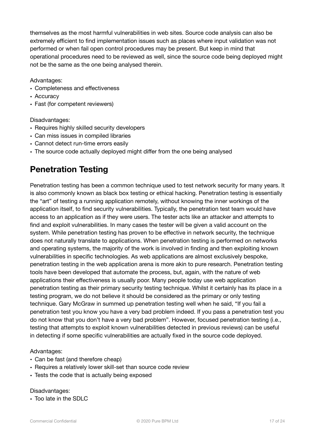themselves as the most harmful vulnerabilities in web sites. Source code analysis can also be extremely efficient to find implementation issues such as places where input validation was not performed or when fail open control procedures may be present. But keep in mind that operational procedures need to be reviewed as well, since the source code being deployed might not be the same as the one being analysed therein.

Advantages:

- Completeness and effectiveness
- Accuracy
- Fast (for competent reviewers)

### Disadvantages:

- Requires highly skilled security developers
- Can miss issues in compiled libraries
- Cannot detect run-time errors easily
- The source code actually deployed might differ from the one being analysed

### <span id="page-16-0"></span>**Penetration Testing**

Penetration testing has been a common technique used to test network security for many years. It is also commonly known as black box testing or ethical hacking. Penetration testing is essentially the "art" of testing a running application remotely, without knowing the inner workings of the application itself, to find security vulnerabilities. Typically, the penetration test team would have access to an application as if they were users. The tester acts like an attacker and attempts to find and exploit vulnerabilities. In many cases the tester will be given a valid account on the system. While penetration testing has proven to be effective in network security, the technique does not naturally translate to applications. When penetration testing is performed on networks and operating systems, the majority of the work is involved in finding and then exploiting known vulnerabilities in specific technologies. As web applications are almost exclusively bespoke, penetration testing in the web application arena is more akin to pure research. Penetration testing tools have been developed that automate the process, but, again, with the nature of web applications their effectiveness is usually poor. Many people today use web application penetration testing as their primary security testing technique. Whilst it certainly has its place in a testing program, we do not believe it should be considered as the primary or only testing technique. Gary McGraw in summed up penetration testing well when he said, "If you fail a penetration test you know you have a very bad problem indeed. If you pass a penetration test you do not know that you don't have a very bad problem". However, focused penetration testing (i.e., testing that attempts to exploit known vulnerabilities detected in previous reviews) can be useful in detecting if some specific vulnerabilities are actually fixed in the source code deployed.

### Advantages:

- Can be fast (and therefore cheap)
- Requires a relatively lower skill-set than source code review
- Tests the code that is actually being exposed

### Disadvantages:

• Too late in the SDLC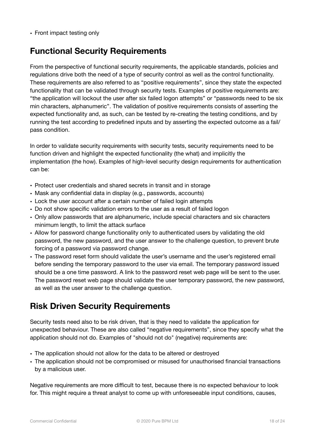• Front impact testing only

### <span id="page-17-0"></span>**Functional Security Requirements**

From the perspective of functional security requirements, the applicable standards, policies and regulations drive both the need of a type of security control as well as the control functionality. These requirements are also referred to as "positive requirements", since they state the expected functionality that can be validated through security tests. Examples of positive requirements are: "the application will lockout the user after six failed logon attempts" or "passwords need to be six min characters, alphanumeric". The validation of positive requirements consists of asserting the expected functionality and, as such, can be tested by re-creating the testing conditions, and by running the test according to predefined inputs and by asserting the expected outcome as a fail/ pass condition.

In order to validate security requirements with security tests, security requirements need to be function driven and highlight the expected functionality (the what) and implicitly the implementation (the how). Examples of high-level security design requirements for authentication can be:

- Protect user credentials and shared secrets in transit and in storage
- Mask any confidential data in display (e.g., passwords, accounts)
- Lock the user account after a certain number of failed login attempts
- Do not show specific validation errors to the user as a result of failed logon
- Only allow passwords that are alphanumeric, include special characters and six characters minimum length, to limit the attack surface
- Allow for password change functionality only to authenticated users by validating the old password, the new password, and the user answer to the challenge question, to prevent brute forcing of a password via password change.
- The password reset form should validate the user's username and the user's registered email before sending the temporary password to the user via email. The temporary password issued should be a one time password. A link to the password reset web page will be sent to the user. The password reset web page should validate the user temporary password, the new password, as well as the user answer to the challenge question.

### <span id="page-17-1"></span>**Risk Driven Security Requirements**

Security tests need also to be risk driven, that is they need to validate the application for unexpected behaviour. These are also called "negative requirements", since they specify what the application should not do. Examples of "should not do" (negative) requirements are:

- The application should not allow for the data to be altered or destroyed
- The application should not be compromised or misused for unauthorised financial transactions by a malicious user.

Negative requirements are more difficult to test, because there is no expected behaviour to look for. This might require a threat analyst to come up with unforeseeable input conditions, causes,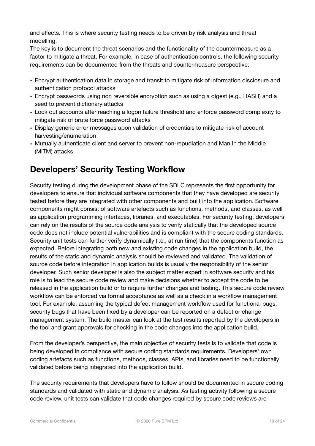and effects. This is where security testing needs to be driven by risk analysis and threat modelling.

The key is to document the threat scenarios and the functionality of the countermeasure as a factor to mitigate a threat. For example, in case of authentication controls, the following security requirements can be documented from the threats and countermeasure perspective:

- Encrypt authentication data in storage and transit to mitigate risk of information disclosure and authentication protocol attacks
- Encrypt passwords using non reversible encryption such as using a digest (e.g., HASH) and a seed to prevent dictionary attacks
- Lock out accounts after reaching a logon failure threshold and enforce password complexity to mitigate risk of brute force password attacks
- Display generic error messages upon validation of credentials to mitigate risk of account harvesting/enumeration
- Mutually authenticate client and server to prevent non-repudiation and Man In the Middle (MiTM) attacks

### <span id="page-18-0"></span>**Developers' Security Testing Workflow**

Security testing during the development phase of the SDLC represents the first opportunity for developers to ensure that individual software components that they have developed are security tested before they are integrated with other components and built into the application. Software components might consist of software artefacts such as functions, methods, and classes, as well as application programming interfaces, libraries, and executables. For security testing, developers can rely on the results of the source code analysis to verify statically that the developed source code does not include potential vulnerabilities and is compliant with the secure coding standards. Security unit tests can further verify dynamically (i.e., at run time) that the components function as expected. Before integrating both new and existing code changes in the application build, the results of the static and dynamic analysis should be reviewed and validated. The validation of source code before integration in application builds is usually the responsibility of the senior developer. Such senior developer is also the subject matter expert in software security and his role is to lead the secure code review and make decisions whether to accept the code to be released in the application build or to require further changes and testing. This secure code review workflow can be enforced via formal acceptance as well as a check in a workflow management tool. For example, assuming the typical defect management workflow used for functional bugs, security bugs that have been fixed by a developer can be reported on a defect or change management system. The build master can look at the test results reported by the developers in the tool and grant approvals for checking in the code changes into the application build.

From the developer's perspective, the main objective of security tests is to validate that code is being developed in compliance with secure coding standards requirements. Developers' own coding artefacts such as functions, methods, classes, APIs, and libraries need to be functionally validated before being integrated into the application build.

The security requirements that developers have to follow should be documented in secure coding standards and validated with static and dynamic analysis. As testing activity following a secure code review, unit tests can validate that code changes required by secure code reviews are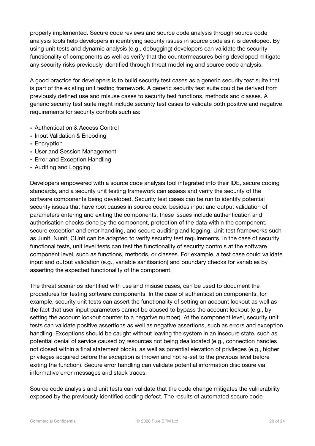properly implemented. Secure code reviews and source code analysis through source code analysis tools help developers in identifying security issues in source code as it is developed. By using unit tests and dynamic analysis (e.g., debugging) developers can validate the security functionality of components as well as verify that the countermeasures being developed mitigate any security risks previously identified through threat modelling and source code analysis.

A good practice for developers is to build security test cases as a generic security test suite that is part of the existing unit testing framework. A generic security test suite could be derived from previously defined use and misuse cases to security test functions, methods and classes. A generic security test suite might include security test cases to validate both positive and negative requirements for security controls such as:

- Authentication & Access Control
- Input Validation & Encoding
- Encryption
- User and Session Management
- Error and Exception Handling
- Auditing and Logging

Developers empowered with a source code analysis tool integrated into their IDE, secure coding standards, and a security unit testing framework can assess and verify the security of the software components being developed. Security test cases can be run to identify potential security issues that have root causes in source code: besides input and output validation of parameters entering and exiting the components, these issues include authentication and authorisation checks done by the component, protection of the data within the component, secure exception and error handling, and secure auditing and logging. Unit test frameworks such as Junit, Nunit, CUnit can be adapted to verify security test requirements. In the case of security functional tests, unit level tests can test the functionality of security controls at the software component level, such as functions, methods, or classes. For example, a test case could validate input and output validation (e.g., variable sanitisation) and boundary checks for variables by asserting the expected functionality of the component.

The threat scenarios identified with use and misuse cases, can be used to document the procedures for testing software components. In the case of authentication components, for example, security unit tests can assert the functionality of setting an account lockout as well as the fact that user input parameters cannot be abused to bypass the account lockout (e.g., by setting the account lockout counter to a negative number). At the component level, security unit tests can validate positive assertions as well as negative assertions, such as errors and exception handling. Exceptions should be caught without leaving the system in an insecure state, such as potential denial of service caused by resources not being deallocated (e.g., connection handles not closed within a final statement block), as well as potential elevation of privileges (e.g., higher privileges acquired before the exception is thrown and not re-set to the previous level before exiting the function). Secure error handling can validate potential information disclosure via informative error messages and stack traces.

Source code analysis and unit tests can validate that the code change mitigates the vulnerability exposed by the previously identified coding defect. The results of automated secure code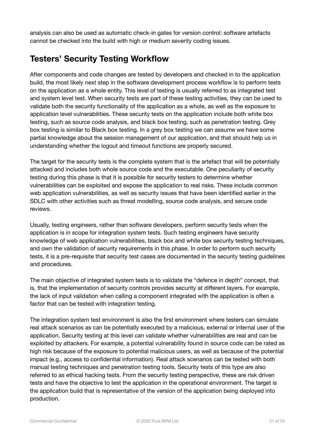analysis can also be used as automatic check-in gates for version control: software artefacts cannot be checked into the build with high or medium severity coding issues.

### <span id="page-20-0"></span>**Testers' Security Testing Workflow**

After components and code changes are tested by developers and checked in to the application build, the most likely next step in the software development process workflow is to perform tests on the application as a whole entity. This level of testing is usually referred to as integrated test and system level test. When security tests are part of these testing activities, they can be used to validate both the security functionality of the application as a whole, as well as the exposure to application level vulnerabilities. These security tests on the application include both white box testing, such as source code analysis, and black box testing, such as penetration testing. Grey box testing is similar to Black box testing. In a grey box testing we can assume we have some partial knowledge about the session management of our application, and that should help us in understanding whether the logout and timeout functions are properly secured.

The target for the security tests is the complete system that is the artefact that will be potentially attacked and includes both whole source code and the executable. One peculiarity of security testing during this phase is that it is possible for security testers to determine whether vulnerabilities can be exploited and expose the application to real risks. These include common web application vulnerabilities, as well as security issues that have been identified earlier in the SDLC with other activities such as threat modelling, source code analysis, and secure code reviews.

Usually, testing engineers, rather than software developers, perform security tests when the application is in scope for integration system tests. Such testing engineers have security knowledge of web application vulnerabilities, black box and white box security testing techniques, and own the validation of security requirements in this phase. In order to perform such security tests, it is a pre-requisite that security test cases are documented in the security testing guidelines and procedures.

The main objective of integrated system tests is to validate the "defence in depth" concept, that is, that the implementation of security controls provides security at different layers. For example, the lack of input validation when calling a component integrated with the application is often a factor that can be tested with integration testing.

The integration system test environment is also the first environment where testers can simulate real attack scenarios as can be potentially executed by a malicious, external or internal user of the application. Security testing at this level can validate whether vulnerabilities are real and can be exploited by attackers. For example, a potential vulnerability found in source code can be rated as high risk because of the exposure to potential malicious users, as well as because of the potential impact (e.g., access to confidential information). Real attack scenarios can be tested with both manual testing techniques and penetration testing tools. Security tests of this type are also referred to as ethical hacking tests. From the security testing perspective, these are risk driven tests and have the objective to test the application in the operational environment. The target is the application build that is representative of the version of the application being deployed into production.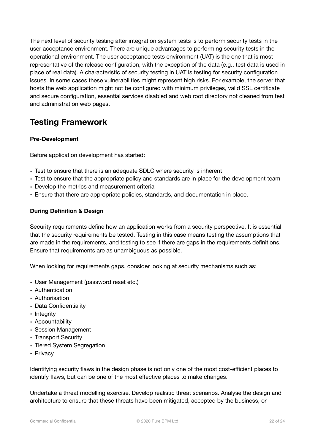The next level of security testing after integration system tests is to perform security tests in the user acceptance environment. There are unique advantages to performing security tests in the operational environment. The user acceptance tests environment (UAT) is the one that is most representative of the release configuration, with the exception of the data (e.g., test data is used in place of real data). A characteristic of security testing in UAT is testing for security configuration issues. In some cases these vulnerabilities might represent high risks. For example, the server that hosts the web application might not be configured with minimum privileges, valid SSL certificate and secure configuration, essential services disabled and web root directory not cleaned from test and administration web pages.

### <span id="page-21-0"></span>**Testing Framework**

### **Pre-Development**

Before application development has started:

- Test to ensure that there is an adequate SDLC where security is inherent
- Test to ensure that the appropriate policy and standards are in place for the development team
- Develop the metrics and measurement criteria
- Ensure that there are appropriate policies, standards, and documentation in place.

#### **During Definition & Design**

Security requirements define how an application works from a security perspective. It is essential that the security requirements be tested. Testing in this case means testing the assumptions that are made in the requirements, and testing to see if there are gaps in the requirements definitions. Ensure that requirements are as unambiguous as possible.

When looking for requirements gaps, consider looking at security mechanisms such as:

- User Management (password reset etc.)
- Authentication
- Authorisation
- Data Confidentiality
- Integrity
- Accountability
- Session Management
- Transport Security
- Tiered System Segregation
- Privacy

Identifying security flaws in the design phase is not only one of the most cost-efficient places to identify flaws, but can be one of the most effective places to make changes.

Undertake a threat modelling exercise. Develop realistic threat scenarios. Analyse the design and architecture to ensure that these threats have been mitigated, accepted by the business, or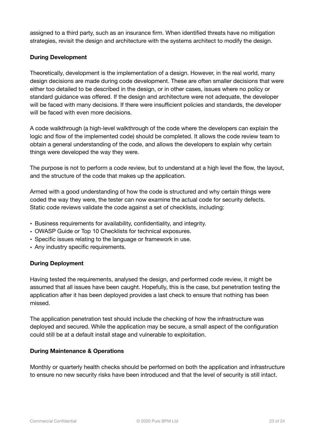assigned to a third party, such as an insurance firm. When identified threats have no mitigation strategies, revisit the design and architecture with the systems architect to modify the design.

### **During Development**

Theoretically, development is the implementation of a design. However, in the real world, many design decisions are made during code development. These are often smaller decisions that were either too detailed to be described in the design, or in other cases, issues where no policy or standard guidance was offered. If the design and architecture were not adequate, the developer will be faced with many decisions. If there were insufficient policies and standards, the developer will be faced with even more decisions.

A code walkthrough (a high-level walkthrough of the code where the developers can explain the logic and flow of the implemented code) should be completed. It allows the code review team to obtain a general understanding of the code, and allows the developers to explain why certain things were developed the way they were.

The purpose is not to perform a code review, but to understand at a high level the flow, the layout, and the structure of the code that makes up the application.

Armed with a good understanding of how the code is structured and why certain things were coded the way they were, the tester can now examine the actual code for security defects. Static code reviews validate the code against a set of checklists, including:

- Business requirements for availability, confidentiality, and integrity.
- OWASP Guide or Top 10 Checklists for technical exposures.
- Specific issues relating to the language or framework in use.
- Any industry specific requirements.

### **During Deployment**

Having tested the requirements, analysed the design, and performed code review, it might be assumed that all issues have been caught. Hopefully, this is the case, but penetration testing the application after it has been deployed provides a last check to ensure that nothing has been missed.

The application penetration test should include the checking of how the infrastructure was deployed and secured. While the application may be secure, a small aspect of the configuration could still be at a default install stage and vulnerable to exploitation.

### **During Maintenance & Operations**

Monthly or quarterly health checks should be performed on both the application and infrastructure to ensure no new security risks have been introduced and that the level of security is still intact.